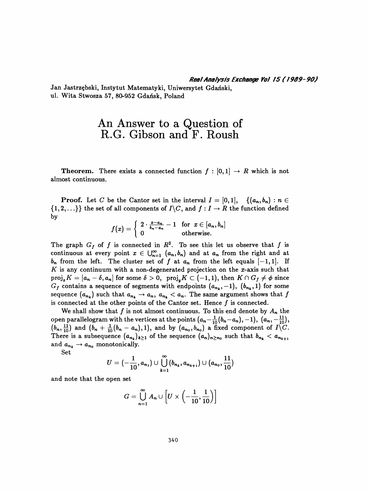Jan Jastrzębski, Instytut Matematyki, Uniwersytet Gdański, ul. Wita Stwosza 57, 80-952 Gdańsk, Poland

## An Answer to a Question of R.G. Gibson and F. Roush

**Theorem.** There exists a connected function  $f : [0,1] \rightarrow R$  which is not almost continuous.

**Proof.** Let C be the Cantor set in the interval  $I = [0,1], \{(a_n, b_n) : n \in$  $\{1,2,\ldots\}\}$  the set of all components of  $I\backslash C,$  and  $f: I \to R$  the function defined by

$$
f(x) = \begin{cases} 2 \cdot \frac{x-a_n}{b_n-a_n} - 1 & \text{for } x \in [a_n, b_n] \\ 0 & \text{otherwise.} \end{cases}
$$

The graph  $G_f$  of f is connected in  $\mathbb{R}^2$ . To see this let us observe that f is continuous at every point  $x \in \bigcup_{n=1}^{\infty} (a_n, b_n)$  and at  $a_n$  from the right and at  $b_n$  from the left. The cluster set of f at  $a_n$  from the left equals  $[-1,1]$ . If K is any continuum with a non-degenerated projection on the  $x$ -axis such that  $proj_xK = [a_n - \delta, a_n]$  for some  $\delta > 0$ ,  $proj_yK \subset (-1,1)$ , then  $K \cap G_f \neq \phi$  since  $G_f$  contains a sequence of segments with endpoints  $(a_{n_k},-1), (b_{n_k},1)$  for some sequence  $(a_{n_k})$  such that  $a_{n_k} \to a_n$ ,  $a_{n_k} < a_n$ . The same argument shows that f is connected at the other points of the Cantor set. Hence  $f$  is connected.

We shall show that f is not almost continuous. To this end denote by  $A_n$  the open parallelogram with the vertices at the points  $(a_n - \frac{1}{10}(b_n - a_n), -1), (a_n, -\frac{11}{10}),$  $(b_n, \frac{11}{10})$  and  $(b_n + \frac{1}{10}(b_n - a_n),1)$ , and by  $(a_{n_0}, b_{n_0})$  a fixed component of  $I\setminus C$ . There is a subsequence  $(a_{n_k})_{k\geq 1}$  of the sequence  $(a_n)_{n\geq n_0}$  such that  $b_{n_k} < a_{n_{k+1}}$ and  $a_{n_k} \rightarrow a_{n_0}$  monotonically.

Set

$$
U = (-\frac{1}{10}, a_{n_1}) \cup \bigcup_{k=1}^{\infty} (b_{n_k}, a_{n_{k+1}}) \cup (a_{n_0}, \frac{11}{10})
$$

and note that the open set

$$
G=\bigcup_{n=1}^\infty A_n\cup \left[U\times\left(-\frac{1}{10},\frac{1}{10}\right)\right]
$$